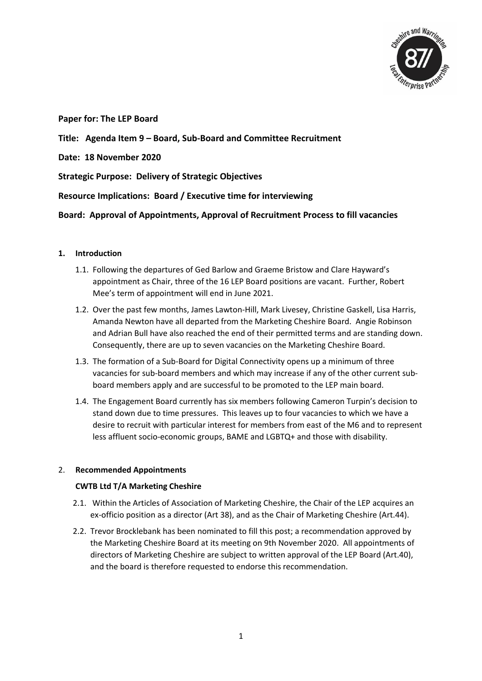

**Paper for: The LEP Board**

### **Title: Agenda Item 9 – Board, Sub-Board and Committee Recruitment**

**Date: 18 November 2020**

**Strategic Purpose: Delivery of Strategic Objectives**

**Resource Implications: Board / Executive time for interviewing** 

**Board: Approval of Appointments, Approval of Recruitment Process to fill vacancies** 

### **1. Introduction**

- 1.1. Following the departures of Ged Barlow and Graeme Bristow and Clare Hayward's appointment as Chair, three of the 16 LEP Board positions are vacant. Further, Robert Mee's term of appointment will end in June 2021.
- 1.2. Over the past few months, James Lawton-Hill, Mark Livesey, Christine Gaskell, Lisa Harris, Amanda Newton have all departed from the Marketing Cheshire Board. Angie Robinson and Adrian Bull have also reached the end of their permitted terms and are standing down. Consequently, there are up to seven vacancies on the Marketing Cheshire Board.
- 1.3. The formation of a Sub-Board for Digital Connectivity opens up a minimum of three vacancies for sub-board members and which may increase if any of the other current subboard members apply and are successful to be promoted to the LEP main board.
- 1.4. The Engagement Board currently has six members following Cameron Turpin's decision to stand down due to time pressures. This leaves up to four vacancies to which we have a desire to recruit with particular interest for members from east of the M6 and to represent less affluent socio-economic groups, BAME and LGBTQ+ and those with disability.

### 2. **Recommended Appointments**

### **CWTB Ltd T/A Marketing Cheshire**

- 2.1. Within the Articles of Association of Marketing Cheshire, the Chair of the LEP acquires an ex-officio position as a director (Art 38), and as the Chair of Marketing Cheshire (Art.44).
- 2.2. Trevor Brocklebank has been nominated to fill this post; a recommendation approved by the Marketing Cheshire Board at its meeting on 9th November 2020. All appointments of directors of Marketing Cheshire are subject to written approval of the LEP Board (Art.40), and the board is therefore requested to endorse this recommendation.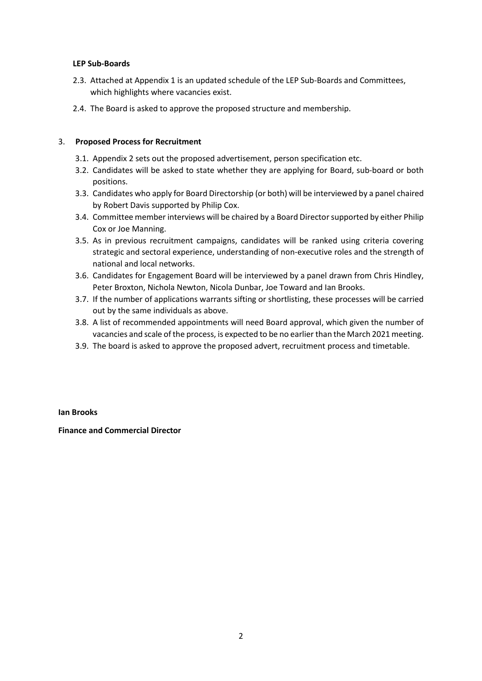### **LEP Sub-Boards**

- 2.3. Attached at Appendix 1 is an updated schedule of the LEP Sub-Boards and Committees, which highlights where vacancies exist.
- 2.4. The Board is asked to approve the proposed structure and membership.

### 3. **Proposed Process for Recruitment**

- 3.1. Appendix 2 sets out the proposed advertisement, person specification etc.
- 3.2. Candidates will be asked to state whether they are applying for Board, sub-board or both positions.
- 3.3. Candidates who apply for Board Directorship (or both) will be interviewed by a panel chaired by Robert Davis supported by Philip Cox.
- 3.4. Committee member interviews will be chaired by a Board Director supported by either Philip Cox or Joe Manning.
- 3.5. As in previous recruitment campaigns, candidates will be ranked using criteria covering strategic and sectoral experience, understanding of non-executive roles and the strength of national and local networks.
- 3.6. Candidates for Engagement Board will be interviewed by a panel drawn from Chris Hindley, Peter Broxton, Nichola Newton, Nicola Dunbar, Joe Toward and Ian Brooks.
- 3.7. If the number of applications warrants sifting or shortlisting, these processes will be carried out by the same individuals as above.
- 3.8. A list of recommended appointments will need Board approval, which given the number of vacancies and scale of the process, is expected to be no earlier than the March 2021 meeting.
- 3.9. The board is asked to approve the proposed advert, recruitment process and timetable.

### **Ian Brooks**

### **Finance and Commercial Director**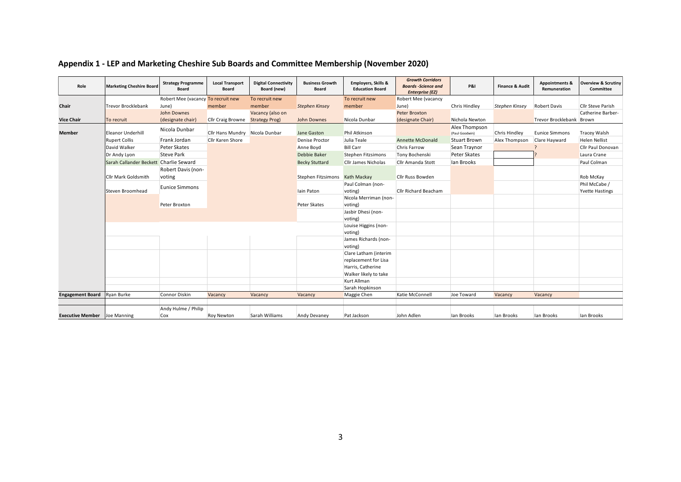| Role                                | <b>Marketing Cheshire Board</b>        | <b>Strategy Programme</b><br><b>Board</b> | <b>Local Transport</b><br>Board         | <b>Digital Connectivity</b><br>Board (new) | <b>Business Growth</b><br><b>Board</b> | Employers, Skills &<br><b>Education Board</b> | <b>Growth Corridors</b><br><b>Boards -Science and</b><br><b>Enterprise (EZ)</b> | <b>P&amp;I</b>                  | <b>Finance &amp; Audit</b> | <b>Appointments &amp;</b><br>Remuneration | <b>Overview &amp; Scrutiny</b><br>Committee |
|-------------------------------------|----------------------------------------|-------------------------------------------|-----------------------------------------|--------------------------------------------|----------------------------------------|-----------------------------------------------|---------------------------------------------------------------------------------|---------------------------------|----------------------------|-------------------------------------------|---------------------------------------------|
|                                     |                                        | Robert Mee (vacancy To recruit new        |                                         | To recruit new                             |                                        | To recruit new                                | <b>Robert Mee (vacancy</b>                                                      |                                 |                            |                                           |                                             |
| Chair                               | Trevor Brocklebank                     | June)                                     | member                                  | member                                     | <b>Stephen Kinsey</b>                  | member                                        | June)                                                                           | Chris Hindley                   | Stephen Kinsey             | <b>Robert Davis</b>                       | Cllr Steve Parish                           |
|                                     |                                        | John Downes                               |                                         | Vacancy (also on                           |                                        |                                               | <b>Peter Broxton</b>                                                            |                                 |                            |                                           | Catherine Barber-                           |
| <b>Vice Chair</b>                   | To recruit                             | (designate chair)                         | <b>Cllr Craig Browne Strategy Prog)</b> |                                            | John Downes                            | Nicola Dunbar                                 | (designate Chair)                                                               | Nichola Newton                  |                            | Trevor Brocklebank Brown                  |                                             |
| <b>Member</b>                       | Eleanor Underhill                      | Nicola Dunbar                             | Cllr Hans Mundry Nicola Dunbar          |                                            | Jane Gaston                            | Phil Atkinson                                 |                                                                                 | Alex Thompson<br>(Paul Goodwin) | <b>Chris Hindley</b>       | <b>Eunice Simmons</b>                     | <b>Tracey Walsh</b>                         |
|                                     | <b>Rupert Collis</b>                   | Frank Jordan                              | Cllr Karen Shore                        |                                            | <b>Denise Proctor</b>                  | Julia Teale                                   | <b>Annette McDonald</b>                                                         | <b>Stuart Brown</b>             | Alex Thompson              | Clare Hayward                             | <b>Helen Nellist</b>                        |
|                                     | David Walker                           | Peter Skates                              |                                         |                                            | Anne Boyd                              | <b>Bill Carr</b>                              | Chris Farrow                                                                    | Sean Traynor                    |                            |                                           | <b>Cllr Paul Donovan</b>                    |
|                                     | Dr Andy Lyon                           | <b>Steve Park</b>                         |                                         |                                            | Debbie Baker                           | Stephen Fitzsimons                            | Tony Bochenski                                                                  | Peter Skates                    |                            |                                           | Laura Crane                                 |
|                                     | Sarah Callander Beckett Charlie Seward |                                           |                                         |                                            | <b>Becky Stuttard</b>                  | <b>Cllr James Nicholas</b>                    | Cllr Amanda Stott                                                               | lan Brooks                      |                            |                                           | Paul Colman                                 |
|                                     |                                        | Robert Davis (non-                        |                                         |                                            |                                        |                                               |                                                                                 |                                 |                            |                                           |                                             |
|                                     | Cllr Mark Goldsmith                    | voting                                    |                                         |                                            | Stephen Fitzsimons Kath Mackay         |                                               | <b>Cllr Russ Bowden</b>                                                         |                                 |                            |                                           | Rob McKay                                   |
|                                     |                                        | Eunice Simmons                            |                                         |                                            |                                        | Paul Colman (non-                             |                                                                                 |                                 |                            |                                           | Phil McCabe /                               |
|                                     | <b>Steven Broomhead</b>                |                                           |                                         |                                            | lain Paton                             | voting)                                       | Cllr Richard Beacham                                                            |                                 |                            |                                           | <b>Yvette Hastings</b>                      |
|                                     |                                        |                                           |                                         |                                            |                                        | Nicola Merriman (non-                         |                                                                                 |                                 |                            |                                           |                                             |
|                                     |                                        | Peter Broxton                             |                                         |                                            | Peter Skates                           | voting)                                       |                                                                                 |                                 |                            |                                           |                                             |
|                                     |                                        |                                           |                                         |                                            |                                        | Jasbir Dhesi (non-                            |                                                                                 |                                 |                            |                                           |                                             |
|                                     |                                        |                                           |                                         |                                            |                                        | voting)                                       |                                                                                 |                                 |                            |                                           |                                             |
|                                     |                                        |                                           |                                         |                                            |                                        | Louise Higgins (non-                          |                                                                                 |                                 |                            |                                           |                                             |
|                                     |                                        |                                           |                                         |                                            |                                        | voting)                                       |                                                                                 |                                 |                            |                                           |                                             |
|                                     |                                        |                                           |                                         |                                            |                                        | James Richards (non-<br>voting)               |                                                                                 |                                 |                            |                                           |                                             |
|                                     |                                        |                                           |                                         |                                            |                                        | Clare Latham (interim                         |                                                                                 |                                 |                            |                                           |                                             |
|                                     |                                        |                                           |                                         |                                            |                                        | replacement for Lisa                          |                                                                                 |                                 |                            |                                           |                                             |
|                                     |                                        |                                           |                                         |                                            |                                        | Harris, Catherine                             |                                                                                 |                                 |                            |                                           |                                             |
|                                     |                                        |                                           |                                         |                                            |                                        | Walker likely to take                         |                                                                                 |                                 |                            |                                           |                                             |
|                                     |                                        |                                           |                                         |                                            |                                        | Kurt Allman                                   |                                                                                 |                                 |                            |                                           |                                             |
|                                     |                                        |                                           |                                         |                                            |                                        | Sarah Hopkinson                               |                                                                                 |                                 |                            |                                           |                                             |
| <b>Engagement Board</b>             | Ryan Burke                             | Connor Diskin                             | Vacancy                                 | Vacancy                                    | Vacancy                                | Maggie Chen                                   | Katie McConnell                                                                 | Joe Toward                      | Vacancy                    | Vacancy                                   |                                             |
|                                     |                                        |                                           |                                         |                                            |                                        |                                               |                                                                                 |                                 |                            |                                           |                                             |
|                                     |                                        | Andy Hulme / Philip                       |                                         |                                            |                                        |                                               |                                                                                 |                                 |                            |                                           |                                             |
| <b>Executive Member</b> Joe Manning |                                        | Cox                                       | <b>Roy Newton</b>                       | Sarah Williams                             | Andy Devaney                           | Pat Jackson                                   | John Adlen                                                                      | lan Brooks                      | lan Brooks                 | lan Brooks                                | lan Brooks                                  |

## **Appendix 1 - LEP and Marketing Cheshire Sub Boards and Committee Membership (November 2020)**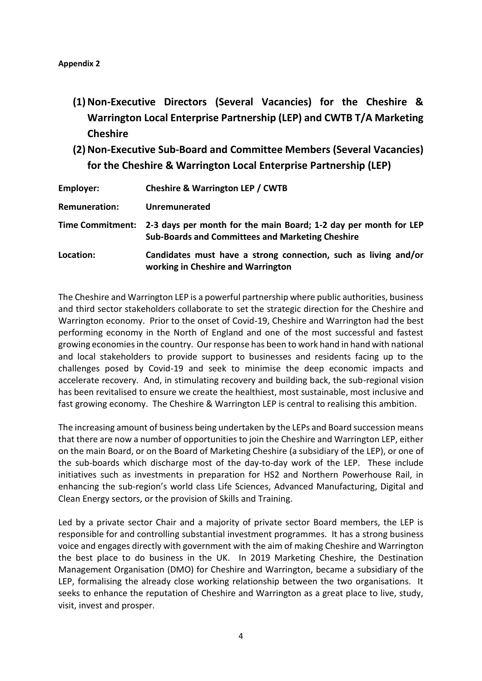- **(1)Non-Executive Directors (Several Vacancies) for the Cheshire & Warrington Local Enterprise Partnership (LEP) and CWTB T/A Marketing Cheshire**
- **(2)Non-Executive Sub-Board and Committee Members (Several Vacancies) for the Cheshire & Warrington Local Enterprise Partnership (LEP)**

| Employer:            | <b>Cheshire &amp; Warrington LEP / CWTB</b>                                                                                                  |
|----------------------|----------------------------------------------------------------------------------------------------------------------------------------------|
| <b>Remuneration:</b> | Unremunerated                                                                                                                                |
|                      | Time Commitment: 2-3 days per month for the main Board; 1-2 day per month for LEP<br><b>Sub-Boards and Committees and Marketing Cheshire</b> |
| Location:            | Candidates must have a strong connection, such as living and/or<br>working in Cheshire and Warrington                                        |

The Cheshire and Warrington LEP is a powerful partnership where public authorities, business and third sector stakeholders collaborate to set the strategic direction for the Cheshire and Warrington economy. Prior to the onset of Covid-19, Cheshire and Warrington had the best performing economy in the North of England and one of the most successful and fastest growing economies in the country. Our response has been to work hand in hand with national and local stakeholders to provide support to businesses and residents facing up to the challenges posed by Covid-19 and seek to minimise the deep economic impacts and accelerate recovery. And, in stimulating recovery and building back, the sub-regional vision has been revitalised to ensure we create the healthiest, most sustainable, most inclusive and fast growing economy. The Cheshire & Warrington LEP is central to realising this ambition.

The increasing amount of business being undertaken by the LEPs and Board succession means that there are now a number of opportunities to join the Cheshire and Warrington LEP, either on the main Board, or on the Board of Marketing Cheshire (a subsidiary of the LEP), or one of the sub-boards which discharge most of the day-to-day work of the LEP. These include initiatives such as investments in preparation for HS2 and Northern Powerhouse Rail, in enhancing the sub-region's world class Life Sciences, Advanced Manufacturing, Digital and Clean Energy sectors, or the provision of Skills and Training.

Led by a private sector Chair and a majority of private sector Board members, the LEP is responsible for and controlling substantial investment programmes. It has a strong business voice and engages directly with government with the aim of making Cheshire and Warrington the best place to do business in the UK. In 2019 Marketing Cheshire, the Destination Management Organisation (DMO) for Cheshire and Warrington, became a subsidiary of the LEP, formalising the already close working relationship between the two organisations. It seeks to enhance the reputation of Cheshire and Warrington as a great place to live, study, visit, invest and prosper.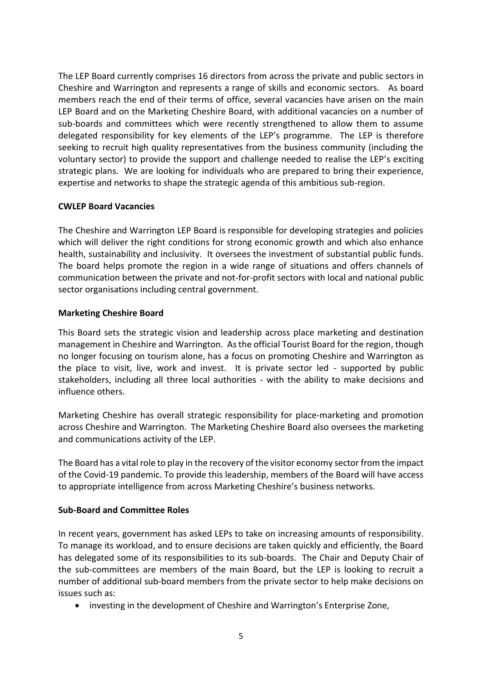The LEP Board currently comprises 16 directors from across the private and public sectors in Cheshire and Warrington and represents a range of skills and economic sectors. As board members reach the end of their terms of office, several vacancies have arisen on the main LEP Board and on the Marketing Cheshire Board, with additional vacancies on a number of sub-boards and committees which were recently strengthened to allow them to assume delegated responsibility for key elements of the LEP's programme. The LEP is therefore seeking to recruit high quality representatives from the business community (including the voluntary sector) to provide the support and challenge needed to realise the LEP's exciting strategic plans. We are looking for individuals who are prepared to bring their experience, expertise and networks to shape the strategic agenda of this ambitious sub-region.

## **CWLEP Board Vacancies**

The Cheshire and Warrington LEP Board is responsible for developing strategies and policies which will deliver the right conditions for strong economic growth and which also enhance health, sustainability and inclusivity. It oversees the investment of substantial public funds. The board helps promote the region in a wide range of situations and offers channels of communication between the private and not-for-profit sectors with local and national public sector organisations including central government.

## **Marketing Cheshire Board**

This Board sets the strategic vision and leadership across place marketing and destination management in Cheshire and Warrington. As the official Tourist Board for the region, though no longer focusing on tourism alone, has a focus on promoting Cheshire and Warrington as the place to visit, live, work and invest. It is private sector led - supported by public stakeholders, including all three local authorities - with the ability to make decisions and influence others.

Marketing Cheshire has overall strategic responsibility for place-marketing and promotion across Cheshire and Warrington. The Marketing Cheshire Board also oversees the marketing and communications activity of the LEP.

The Board has a vital role to play in the recovery of the visitor economy sector from the impact of the Covid-19 pandemic. To provide this leadership, members of the Board will have access to appropriate intelligence from across Marketing Cheshire's business networks.

### **Sub-Board and Committee Roles**

In recent years, government has asked LEPs to take on increasing amounts of responsibility. To manage its workload, and to ensure decisions are taken quickly and efficiently, the Board has delegated some of its responsibilities to its sub-boards. The Chair and Deputy Chair of the sub-committees are members of the main Board, but the LEP is looking to recruit a number of additional sub-board members from the private sector to help make decisions on issues such as:

• investing in the development of Cheshire and Warrington's Enterprise Zone,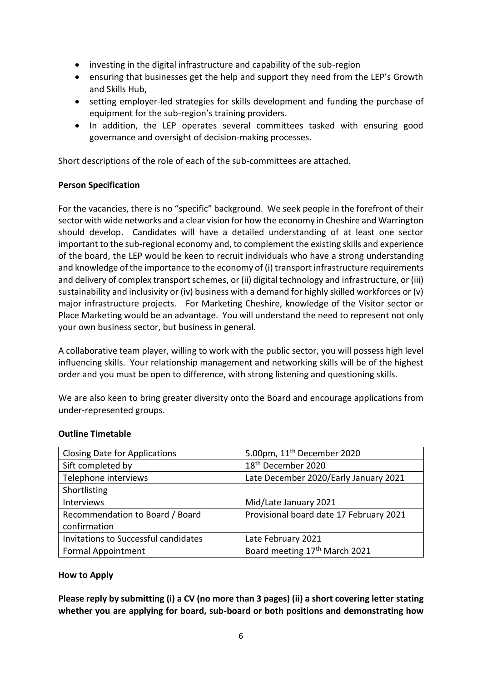- investing in the digital infrastructure and capability of the sub-region
- ensuring that businesses get the help and support they need from the LEP's Growth and Skills Hub,
- setting employer-led strategies for skills development and funding the purchase of equipment for the sub-region's training providers.
- In addition, the LEP operates several committees tasked with ensuring good governance and oversight of decision-making processes.

Short descriptions of the role of each of the sub-committees are attached.

## **Person Specification**

For the vacancies, there is no "specific" background. We seek people in the forefront of their sector with wide networks and a clear vision for how the economy in Cheshire and Warrington should develop. Candidates will have a detailed understanding of at least one sector important to the sub-regional economy and, to complement the existing skills and experience of the board, the LEP would be keen to recruit individuals who have a strong understanding and knowledge of the importance to the economy of (i) transport infrastructure requirements and delivery of complex transport schemes, or (ii) digital technology and infrastructure, or (iii) sustainability and inclusivity or (iv) business with a demand for highly skilled workforces or (v) major infrastructure projects. For Marketing Cheshire, knowledge of the Visitor sector or Place Marketing would be an advantage. You will understand the need to represent not only your own business sector, but business in general.

A collaborative team player, willing to work with the public sector, you will possess high level influencing skills. Your relationship management and networking skills will be of the highest order and you must be open to difference, with strong listening and questioning skills.

We are also keen to bring greater diversity onto the Board and encourage applications from under-represented groups.

### **Outline Timetable**

| <b>Closing Date for Applications</b> | 5.00pm, 11 <sup>th</sup> December 2020    |
|--------------------------------------|-------------------------------------------|
| Sift completed by                    | 18 <sup>th</sup> December 2020            |
| Telephone interviews                 | Late December 2020/Early January 2021     |
| Shortlisting                         |                                           |
| Interviews                           | Mid/Late January 2021                     |
| Recommendation to Board / Board      | Provisional board date 17 February 2021   |
| confirmation                         |                                           |
| Invitations to Successful candidates | Late February 2021                        |
| <b>Formal Appointment</b>            | Board meeting 17 <sup>th</sup> March 2021 |

### **How to Apply**

**Please reply by submitting (i) a CV (no more than 3 pages) (ii) a short covering letter stating whether you are applying for board, sub-board or both positions and demonstrating how**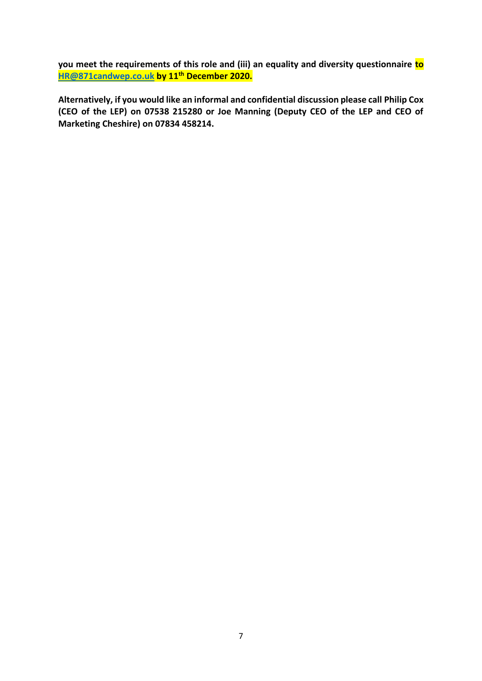**you meet the requirements of this role and (iii) an equality and diversity questionnaire to [HR@871candwep.co.uk](mailto:HR@871candwep.co.uk) by 11th December 2020.**

**Alternatively, if you would like an informal and confidential discussion please call Philip Cox (CEO of the LEP) on 07538 215280 or Joe Manning (Deputy CEO of the LEP and CEO of Marketing Cheshire) on 07834 458214.**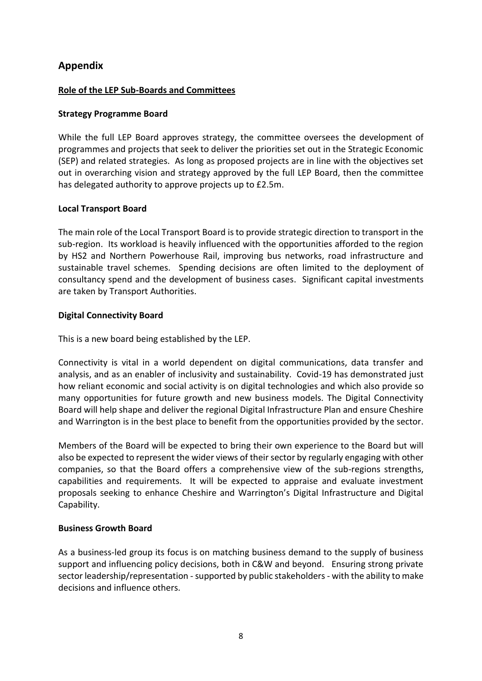## **Appendix**

## **Role of the LEP Sub-Boards and Committees**

## **Strategy Programme Board**

While the full LEP Board approves strategy, the committee oversees the development of programmes and projects that seek to deliver the priorities set out in the Strategic Economic (SEP) and related strategies. As long as proposed projects are in line with the objectives set out in overarching vision and strategy approved by the full LEP Board, then the committee has delegated authority to approve projects up to £2.5m.

## **Local Transport Board**

The main role of the Local Transport Board is to provide strategic direction to transport in the sub-region. Its workload is heavily influenced with the opportunities afforded to the region by HS2 and Northern Powerhouse Rail, improving bus networks, road infrastructure and sustainable travel schemes. Spending decisions are often limited to the deployment of consultancy spend and the development of business cases. Significant capital investments are taken by Transport Authorities.

## **Digital Connectivity Board**

This is a new board being established by the LEP.

Connectivity is vital in a world dependent on digital communications, data transfer and analysis, and as an enabler of inclusivity and sustainability. Covid-19 has demonstrated just how reliant economic and social activity is on digital technologies and which also provide so many opportunities for future growth and new business models. The Digital Connectivity Board will help shape and deliver the regional Digital Infrastructure Plan and ensure Cheshire and Warrington is in the best place to benefit from the opportunities provided by the sector.

Members of the Board will be expected to bring their own experience to the Board but will also be expected to represent the wider views of their sector by regularly engaging with other companies, so that the Board offers a comprehensive view of the sub-regions strengths, capabilities and requirements. It will be expected to appraise and evaluate investment proposals seeking to enhance Cheshire and Warrington's Digital Infrastructure and Digital Capability.

### **Business Growth Board**

As a business-led group its focus is on matching business demand to the supply of business support and influencing policy decisions, both in C&W and beyond. Ensuring strong private sector leadership/representation - supported by public stakeholders - with the ability to make decisions and influence others.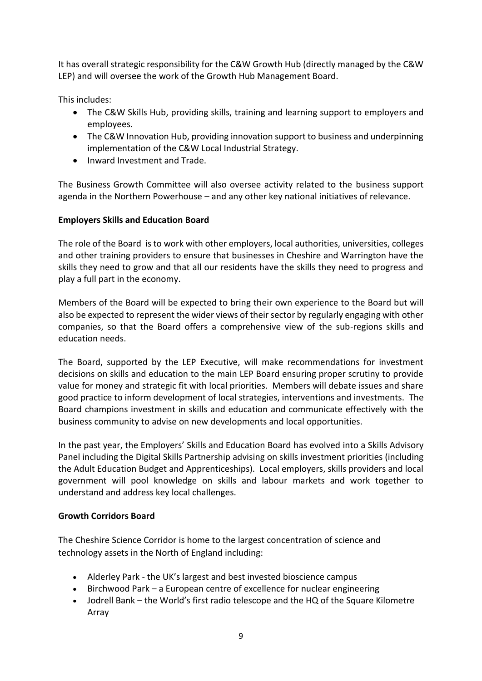It has overall strategic responsibility for the C&W Growth Hub (directly managed by the C&W LEP) and will oversee the work of the Growth Hub Management Board.

This includes:

- The C&W Skills Hub, providing skills, training and learning support to employers and employees.
- The C&W Innovation Hub, providing innovation support to business and underpinning implementation of the C&W Local Industrial Strategy.
- Inward Investment and Trade.

The Business Growth Committee will also oversee activity related to the business support agenda in the Northern Powerhouse – and any other key national initiatives of relevance.

## **Employers Skills and Education Board**

The role of the Board is to work with other employers, local authorities, universities, colleges and other training providers to ensure that businesses in Cheshire and Warrington have the skills they need to grow and that all our residents have the skills they need to progress and play a full part in the economy.

Members of the Board will be expected to bring their own experience to the Board but will also be expected to represent the wider views of their sector by regularly engaging with other companies, so that the Board offers a comprehensive view of the sub-regions skills and education needs.

The Board, supported by the LEP Executive, will make recommendations for investment decisions on skills and education to the main LEP Board ensuring proper scrutiny to provide value for money and strategic fit with local priorities. Members will debate issues and share good practice to inform development of local strategies, interventions and investments. The Board champions investment in skills and education and communicate effectively with the business community to advise on new developments and local opportunities.

In the past year, the Employers' Skills and Education Board has evolved into a Skills Advisory Panel including the Digital Skills Partnership advising on skills investment priorities (including the Adult Education Budget and Apprenticeships). Local employers, skills providers and local government will pool knowledge on skills and labour markets and work together to understand and address key local challenges.

## **Growth Corridors Board**

The Cheshire Science Corridor is home to the largest concentration of science and technology assets in the North of England including:

- Alderley Park the UK's largest and best invested bioscience campus
- Birchwood Park a European centre of excellence for nuclear engineering
- Jodrell Bank the World's first radio telescope and the HQ of the Square Kilometre Array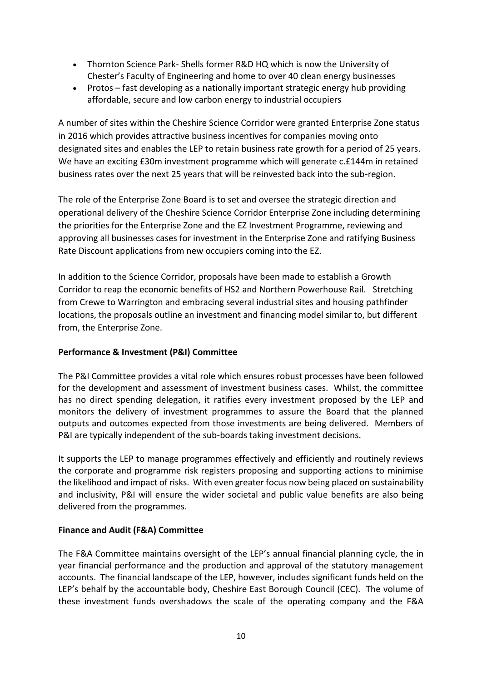- Thornton Science Park- Shells former R&D HQ which is now the University of Chester's Faculty of Engineering and home to over 40 clean energy businesses
- Protos fast developing as a nationally important strategic energy hub providing affordable, secure and low carbon energy to industrial occupiers

A number of sites within the Cheshire Science Corridor were granted Enterprise Zone status in 2016 which provides attractive business incentives for companies moving onto designated sites and enables the LEP to retain business rate growth for a period of 25 years. We have an exciting £30m investment programme which will generate c.£144m in retained business rates over the next 25 years that will be reinvested back into the sub-region.

The role of the Enterprise Zone Board is to set and oversee the strategic direction and operational delivery of the Cheshire Science Corridor Enterprise Zone including determining the priorities for the Enterprise Zone and the EZ Investment Programme, reviewing and approving all businesses cases for investment in the Enterprise Zone and ratifying Business Rate Discount applications from new occupiers coming into the EZ.

In addition to the Science Corridor, proposals have been made to establish a Growth Corridor to reap the economic benefits of HS2 and Northern Powerhouse Rail. Stretching from Crewe to Warrington and embracing several industrial sites and housing pathfinder locations, the proposals outline an investment and financing model similar to, but different from, the Enterprise Zone.

## **Performance & Investment (P&I) Committee**

The P&I Committee provides a vital role which ensures robust processes have been followed for the development and assessment of investment business cases. Whilst, the committee has no direct spending delegation, it ratifies every investment proposed by the LEP and monitors the delivery of investment programmes to assure the Board that the planned outputs and outcomes expected from those investments are being delivered. Members of P&I are typically independent of the sub-boards taking investment decisions.

It supports the LEP to manage programmes effectively and efficiently and routinely reviews the corporate and programme risk registers proposing and supporting actions to minimise the likelihood and impact of risks. With even greater focus now being placed on sustainability and inclusivity, P&I will ensure the wider societal and public value benefits are also being delivered from the programmes.

## **Finance and Audit (F&A) Committee**

The F&A Committee maintains oversight of the LEP's annual financial planning cycle, the in year financial performance and the production and approval of the statutory management accounts. The financial landscape of the LEP, however, includes significant funds held on the LEP's behalf by the accountable body, Cheshire East Borough Council (CEC). The volume of these investment funds overshadows the scale of the operating company and the F&A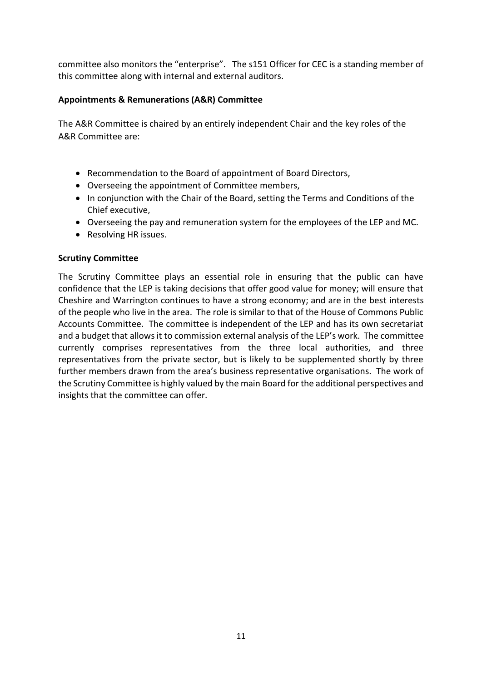committee also monitors the "enterprise". The s151 Officer for CEC is a standing member of this committee along with internal and external auditors.

## **Appointments & Remunerations (A&R) Committee**

The A&R Committee is chaired by an entirely independent Chair and the key roles of the A&R Committee are:

- Recommendation to the Board of appointment of Board Directors,
- Overseeing the appointment of Committee members,
- In conjunction with the Chair of the Board, setting the Terms and Conditions of the Chief executive,
- Overseeing the pay and remuneration system for the employees of the LEP and MC.
- Resolving HR issues.

## **Scrutiny Committee**

The Scrutiny Committee plays an essential role in ensuring that the public can have confidence that the LEP is taking decisions that offer good value for money; will ensure that Cheshire and Warrington continues to have a strong economy; and are in the best interests of the people who live in the area. The role is similar to that of the House of Commons Public Accounts Committee. The committee is independent of the LEP and has its own secretariat and a budget that allows it to commission external analysis of the LEP's work. The committee currently comprises representatives from the three local authorities, and three representatives from the private sector, but is likely to be supplemented shortly by three further members drawn from the area's business representative organisations. The work of the Scrutiny Committee is highly valued by the main Board for the additional perspectives and insights that the committee can offer.